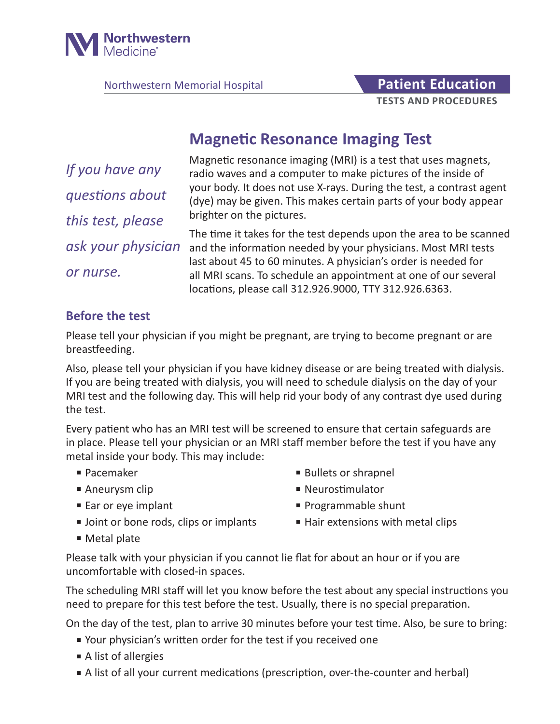

Northwestern Memorial Hospital **Patient Education** 

# **TESTS AND PROCEDURES**

## **Magnetic Resonance Imaging Test**

*If you have any questions about this test, please ask your physician or nurse.*

Magnetic resonance imaging (MRI) is a test that uses magnets, radio waves and a computer to make pictures of the inside of your body. It does not use X-rays. During the test, a contrast agent (dye) may be given. This makes certain parts of your body appear brighter on the pictures.

The time it takes for the test depends upon the area to be scanned and the information needed by your physicians. Most MRI tests last about 45 to 60 minutes. A physician's order is needed for all MRI scans. To schedule an appointment at one of our several locations, please call 312.926.9000, TTY 312.926.6363.

#### **Before the test**

Please tell your physician if you might be pregnant, are trying to become pregnant or are breastfeeding.

Also, please tell your physician if you have kidney disease or are being treated with dialysis. If you are being treated with dialysis, you will need to schedule dialysis on the day of your MRI test and the following day. This will help rid your body of any contrast dye used during the test.

Every patient who has an MRI test will be screened to ensure that certain safeguards are in place. Please tell your physician or an MRI staff member before the test if you have any metal inside your body. This may include:

- Pacemaker Bullets or shrapnel
- Aneurysm clip and a series are a series and a Neurostimulator
- 
- 
- 
- Ear or eye implant Programmable shunt
- Joint or bone rods, clips or implants Hair extensions with metal clips
- Metal plate

Please talk with your physician if you cannot lie flat for about an hour or if you are uncomfortable with closed-in spaces.

The scheduling MRI staff will let you know before the test about any special instructions you need to prepare for this test before the test. Usually, there is no special preparation.

On the day of the test, plan to arrive 30 minutes before your test time. Also, be sure to bring:

- Your physician's written order for the test if you received one
- A list of allergies
- A list of all your current medications (prescription, over-the-counter and herbal)